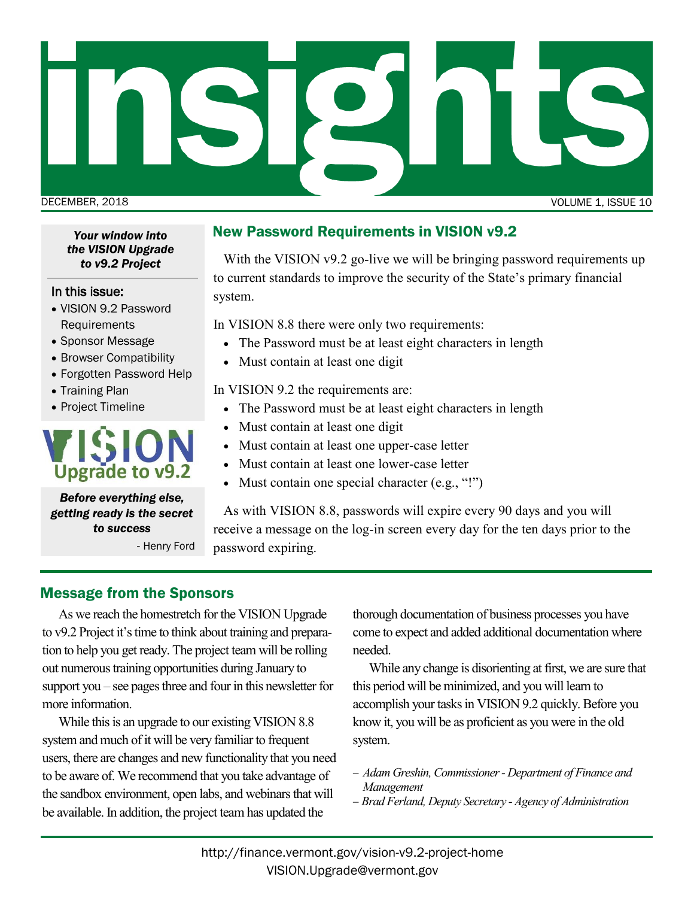

*Your window into the VISION Upgrade to v9.2 Project*

#### In this issue:

- VISION 9.2 Password Requirements
- Sponsor Message
- Browser Compatibility
- Forgotten Password Help
- Training Plan
- Project Timeline

# **Upgrade to v9.2**

*Before everything else, getting ready is the secret to success* - Henry Ford New Password Requirements in VISION v9.2

With the VISION v9.2 go-live we will be bringing password requirements up to current standards to improve the security of the State's primary financial system.

In VISION 8.8 there were only two requirements:

- The Password must be at least eight characters in length
- Must contain at least one digit

In VISION 9.2 the requirements are:

- The Password must be at least eight characters in length
- Must contain at least one digit
- Must contain at least one upper-case letter
- Must contain at least one lower-case letter
- Must contain one special character (e.g., "!")

As with VISION 8.8, passwords will expire every 90 days and you will receive a message on the log-in screen every day for the ten days prior to the password expiring.

# Message from the Sponsors

As we reach the homestretch for the VISION Upgrade to v9.2 Project it's time to think about training and preparation to help you get ready. The project team will be rolling out numerous training opportunities during January to support you – see pages three and four in this newsletter for more information.

While this is an upgrade to our existing VISION 8.8 system and much of it will be very familiar to frequent users, there are changes and new functionality that you need to be aware of. We recommend that you take advantage of the sandbox environment, open labs, and webinars that will be available. In addition, the project team has updated the

thorough documentation of business processes you have come to expect and added additional documentation where needed.

While any change is disorienting at first, we are sure that this period will be minimized, and you will learn to accomplish your tasks in VISION 9.2 quickly. Before you know it, you will be as proficient as you were in the old system.

- − *Adam Greshin, Commissioner - Department of Finance and Management*
- − *Brad Ferland, Deputy Secretary - Agency of Administration*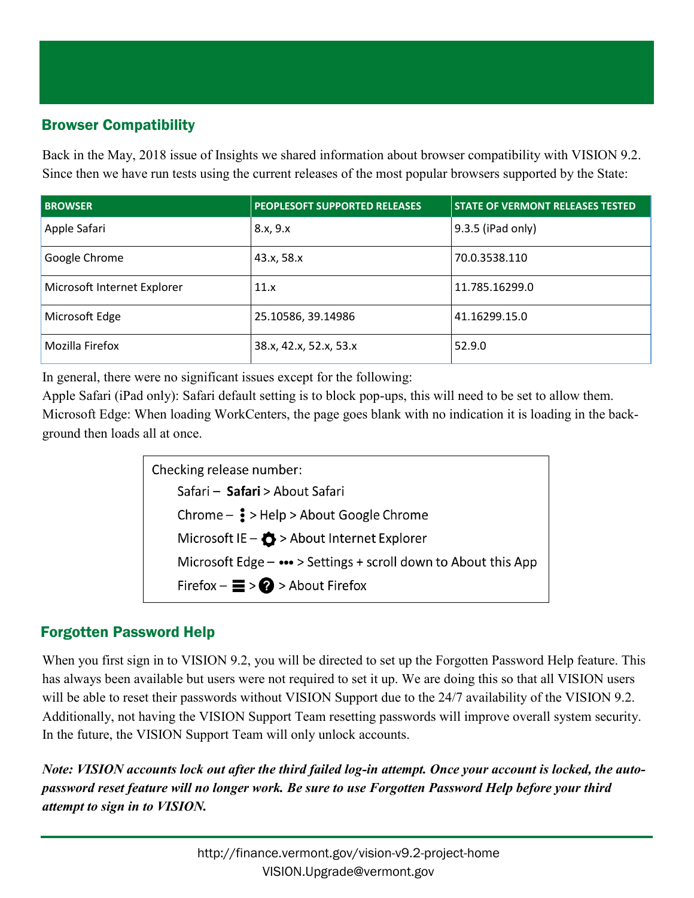# Browser Compatibility

Back in the May, 2018 issue of Insights we shared information about browser compatibility with VISION 9.2. Since then we have run tests using the current releases of the most popular browsers supported by the State:

| <b>BROWSER</b>              | <b>PEOPLESOFT SUPPORTED RELEASES</b> | <b>STATE OF VERMONT RELEASES TESTED</b> |
|-----------------------------|--------------------------------------|-----------------------------------------|
| Apple Safari                | 8.x, 9.x                             | 9.3.5 (iPad only)                       |
| Google Chrome               | 43.x, 58.x                           | 70.0.3538.110                           |
| Microsoft Internet Explorer | 11.x                                 | 11.785.16299.0                          |
| Microsoft Edge              | 25.10586, 39.14986                   | 41.16299.15.0                           |
| Mozilla Firefox             | 38.x, 42.x, 52.x, 53.x               | 52.9.0                                  |

In general, there were no significant issues except for the following:

Apple Safari (iPad only): Safari default setting is to block pop-ups, this will need to be set to allow them. Microsoft Edge: When loading WorkCenters, the page goes blank with no indication it is loading in the background then loads all at once.

> Checking release number: Safari - Safari > About Safari Chrome -  $\frac{1}{5}$  > Help > About Google Chrome Microsoft IE -  $\bigcirc$  > About Internet Explorer Microsoft Edge - ••• > Settings + scroll down to About this App Firefox  $-\equiv$  >  $\bigcirc$  > About Firefox

# Forgotten Password Help

When you first sign in to VISION 9.2, you will be directed to set up the Forgotten Password Help feature. This has always been available but users were not required to set it up. We are doing this so that all VISION users will be able to reset their passwords without VISION Support due to the 24/7 availability of the VISION 9.2. Additionally, not having the VISION Support Team resetting passwords will improve overall system security. In the future, the VISION Support Team will only unlock accounts.

*Note: VISION accounts lock out after the third failed log-in attempt. Once your account is locked, the autopassword reset feature will no longer work. Be sure to use Forgotten Password Help before your third attempt to sign in to VISION.*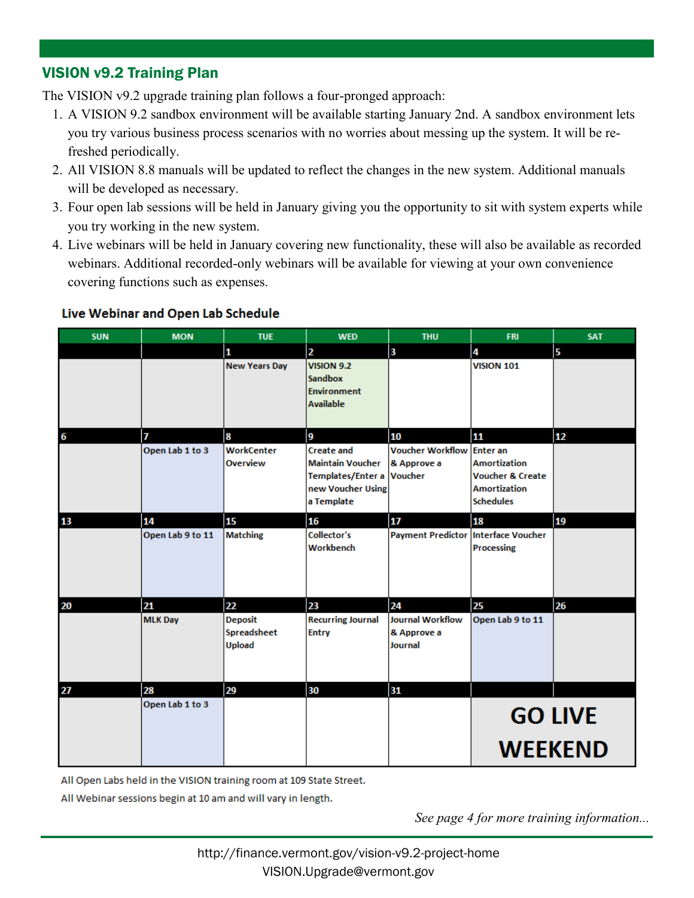#### VISION v9.2 Training Plan

The VISION v9.2 upgrade training plan follows a four-pronged approach:

- 1. A VISION 9.2 sandbox environment will be available starting January 2nd. A sandbox environment lets you try various business process scenarios with no worries about messing up the system. It will be refreshed periodically.
- 2. All VISION 8.8 manuals will be updated to reflect the changes in the new system. Additional manuals will be developed as necessary.
- 3. Four open lab sessions will be held in January giving you the opportunity to sit with system experts while you try working in the new system.
- 4. Live webinars will be held in January covering new functionality, these will also be available as recorded webinars. Additional recorded-only webinars will be available for viewing at your own convenience covering functions such as expenses.

|  |  | Live webinar and Open Lab Schedule |  |
|--|--|------------------------------------|--|
|  |  |                                    |  |

**Divisi Maletine und Onen Leb Celendrile** 

| <b>SUN</b> | <b>MON</b>       | <b>TUE</b>                              | <b>WED</b>                                                                                           | <b>THU</b>                                        | <b>FRI</b>                                                                                                       | <b>SAT</b> |  |
|------------|------------------|-----------------------------------------|------------------------------------------------------------------------------------------------------|---------------------------------------------------|------------------------------------------------------------------------------------------------------------------|------------|--|
|            |                  | 1                                       | $\overline{2}$                                                                                       | $\overline{\mathbf{3}}$                           | 4                                                                                                                | 5          |  |
|            |                  | <b>New Years Day</b>                    | <b>VISION 9.2</b><br><b>Sandbox</b><br><b>Environment</b><br><b>Available</b>                        |                                                   | <b>VISION 101</b>                                                                                                |            |  |
| 6          | 7                | 8                                       | 9                                                                                                    | 10                                                | 11                                                                                                               | 12         |  |
|            | Open Lab 1 to 3  | <b>WorkCenter</b><br><b>Overview</b>    | <b>Create and</b><br><b>Maintain Voucher</b><br>Templates/Enter a<br>new Voucher Using<br>a Template | <b>Voucher Workflow</b><br>& Approve a<br>Voucher | <b>Enter an</b><br><b>Amortization</b><br><b>Voucher &amp; Create</b><br><b>Amortization</b><br><b>Schedules</b> |            |  |
| 13         | 14               | 15                                      | 16                                                                                                   | 17                                                | 18                                                                                                               | 19         |  |
|            | Open Lab 9 to 11 | <b>Matching</b>                         | <b>Collector's</b><br>Workbench                                                                      | <b>Payment Predictor</b>                          | <b>Interface Voucher</b><br><b>Processing</b>                                                                    |            |  |
| 20         | 21               | 22                                      | 23                                                                                                   | 24                                                | 25                                                                                                               | 26         |  |
|            | <b>MLK Day</b>   | <b>Deposit</b><br>Spreadsheet<br>Upload | <b>Recurring Journal</b><br><b>Entry</b>                                                             | <b>Journal Workflow</b><br>& Approve a<br>Journal | Open Lab 9 to 11                                                                                                 |            |  |
| 27         | 28               | 29                                      | 30                                                                                                   | 31                                                |                                                                                                                  |            |  |
|            | Open Lab 1 to 3  |                                         |                                                                                                      |                                                   | <b>GO LIVE</b><br><b>WEEKEND</b>                                                                                 |            |  |

All Open Labs held in the VISION training room at 109 State Street.

All Webinar sessions begin at 10 am and will vary in length.

*See page 4 for more training information...*